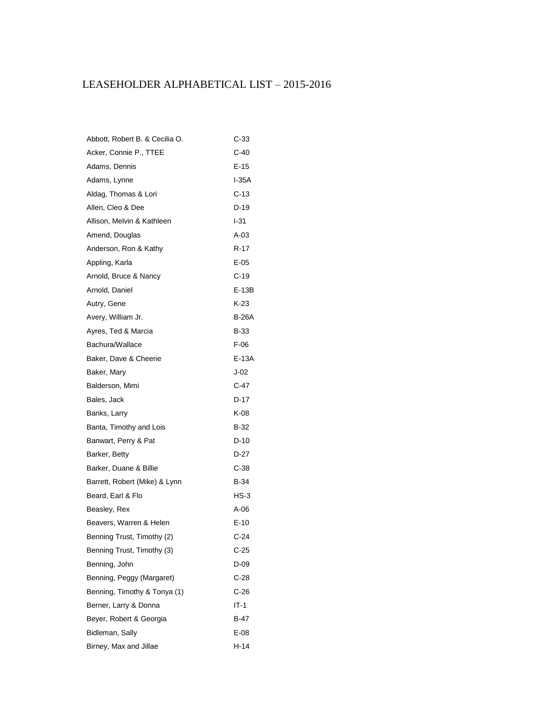## LEASEHOLDER ALPHABETICAL LIST – 2015-2016

| Abbott, Robert B. & Cecilia O. | C-33         |
|--------------------------------|--------------|
| Acker, Connie P., TTEE         | C-40         |
| Adams, Dennis                  | E-15         |
| Adams, Lynne                   | $I-35A$      |
| Aldag, Thomas & Lori           | C-13         |
| Allen, Cleo & Dee              | D-19         |
| Allison, Melvin & Kathleen     | I-31         |
| Amend, Douglas                 | $A-03$       |
| Anderson, Ron & Kathy          | R-17         |
| Appling, Karla                 | E-05         |
| Arnold, Bruce & Nancy          | C-19         |
| Arnold, Daniel                 | E-13B        |
| Autry, Gene                    | K-23         |
| Avery, William Jr.             | <b>B-26A</b> |
| Ayres, Ted & Marcia            | B-33         |
| Bachura/Wallace                | F-06         |
| Baker, Dave & Cheerie          | E-13A        |
| Baker, Mary                    | $J-02$       |
| Balderson, Mimi                | C-47         |
| Bales, Jack                    | D-17         |
| Banks, Larry                   | K-08         |
| Banta, Timothy and Lois        | B-32         |
| Banwart, Perry & Pat           | D-10         |
| Barker, Betty                  | D-27         |
| Barker, Duane & Billie         | C-38         |
| Barrett, Robert (Mike) & Lynn  | B-34         |
| Beard, Earl & Flo              | HS-3         |
| Beasley, Rex                   | $A-06$       |
| Beavers, Warren & Helen        | $E-10$       |
| Benning Trust, Timothy (2)     | C-24         |
| Benning Trust, Timothy (3)     | $C-25$       |
| Benning, John                  | D-09         |
| Benning, Peggy (Margaret)      | C-28         |
| Benning, Timothy & Tonya (1)   | C-26         |
| Berner, Larry & Donna          | IT-1         |
| Beyer, Robert & Georgia        | B-47         |
| Bidleman, Sally                | E-08         |
| Birney, Max and Jillae         | H-14         |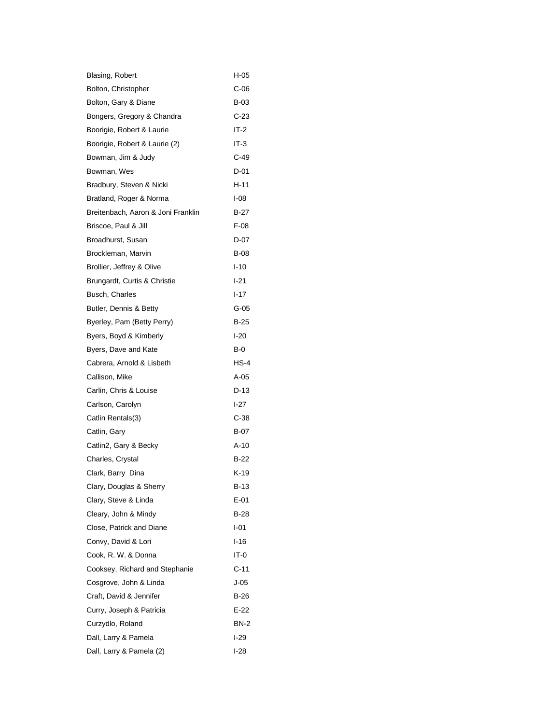| Blasing, Robert                    | H-05        |
|------------------------------------|-------------|
| Bolton, Christopher                | C-06        |
| Bolton, Gary & Diane               | B-03        |
| Bongers, Gregory & Chandra         | $C-23$      |
| Boorigie, Robert & Laurie          | IT-2        |
| Boorigie, Robert & Laurie (2)      | IT-3        |
| Bowman, Jim & Judy                 | $C-49$      |
| Bowman, Wes                        | $D-01$      |
| Bradbury, Steven & Nicki           | H-11        |
| Bratland, Roger & Norma            | $I-08$      |
| Breitenbach, Aaron & Joni Franklin | B-27        |
| Briscoe, Paul & Jill               | $F-08$      |
| Broadhurst, Susan                  | D-07        |
| Brockleman, Marvin                 | B-08        |
| Brollier, Jeffrey & Olive          | $1 - 10$    |
| Brungardt, Curtis & Christie       | $1 - 21$    |
| Busch, Charles                     | $1 - 17$    |
| Butler, Dennis & Betty             | G-05        |
| Byerley, Pam (Betty Perry)         | $B-25$      |
| Byers, Boyd & Kimberly             | $I-20$      |
| Byers, Dave and Kate               | B-0         |
| Cabrera, Arnold & Lisbeth          | $HS-4$      |
| Callison, Mike                     | A-05        |
| Carlin, Chris & Louise             | D-13        |
| Carlson, Carolyn                   | $1-27$      |
| Catlin Rentals(3)                  | C-38        |
| Catlin, Gary                       | $B-07$      |
| Catlin2, Gary & Becky              | A-10        |
| Charles, Crystal                   | B-22        |
| Clark, Barry Dina                  | $K-19$      |
| Clary, Douglas & Sherry            | B-13        |
| Clary, Steve & Linda               | E-01        |
| Cleary, John & Mindy               | B-28        |
| Close, Patrick and Diane           | I-01        |
| Convy, David & Lori                | $1 - 16$    |
| Cook, R. W. & Donna                | IT-0        |
| Cooksey, Richard and Stephanie     | $C-11$      |
| Cosgrove, John & Linda             | $J-05$      |
| Craft, David & Jennifer            | B-26        |
| Curry, Joseph & Patricia           | $E-22$      |
| Curzydlo, Roland                   | <b>BN-2</b> |
| Dall, Larry & Pamela               | I-29        |
| Dall, Larry & Pamela (2)           | l-28        |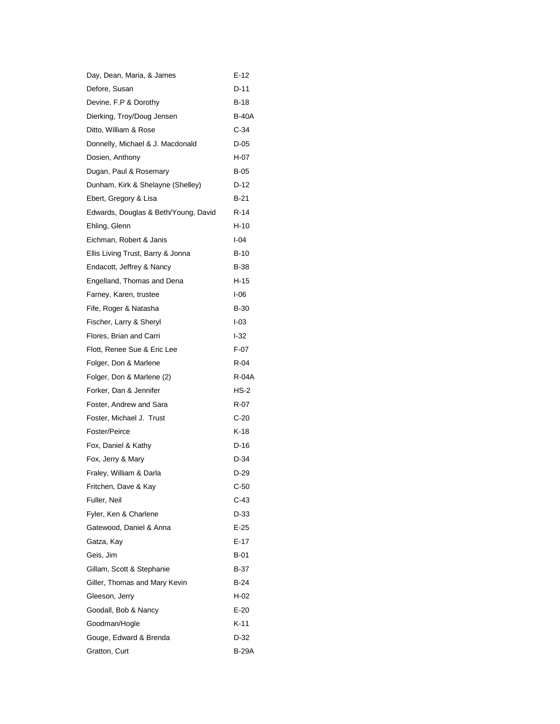| Day, Dean, Maria, & James            | E-12   |
|--------------------------------------|--------|
| Defore, Susan                        | D-11   |
| Devine, F.P & Dorothy                | $B-18$ |
| Dierking, Troy/Doug Jensen           | B-40A  |
| Ditto, William & Rose                | $C-34$ |
| Donnelly, Michael & J. Macdonald     | D-05   |
| Dosien, Anthony                      | H-07   |
| Dugan, Paul & Rosemary               | $B-05$ |
| Dunham, Kirk & Shelayne (Shelley)    | D-12   |
| Ebert, Gregory & Lisa                | B-21   |
| Edwards, Douglas & Beth/Young, David | R-14   |
| Ehling, Glenn                        | H-10   |
| Eichman, Robert & Janis              | I-04   |
| Ellis Living Trust, Barry & Jonna    | B-10   |
| Endacott, Jeffrey & Nancy            | B-38   |
| Engelland, Thomas and Dena           | H-15   |
| Farney, Karen, trustee               | I-06   |
| Fife, Roger & Natasha                | $B-30$ |
| Fischer, Larry & Sheryl              | $1-03$ |
| Flores, Brian and Carri              | $-32$  |
| Flott, Renee Sue & Eric Lee          | F-07   |
| Folger, Don & Marlene                | R-04   |
| Folger, Don & Marlene (2)            | R-04A  |
| Forker, Dan & Jennifer               | $HS-2$ |
| Foster, Andrew and Sara              | R-07   |
| Foster, Michael J. Trust             | $C-20$ |
| Foster/Peirce                        | K-18   |
| Fox, Daniel & Kathy                  | D-16   |
| Fox, Jerry & Mary                    | D-34   |
| Fraley, William & Darla              | D-29   |
| Fritchen, Dave & Kay                 | $C-50$ |
| Fuller, Neil                         | C-43   |
| Fyler, Ken & Charlene                | D-33   |
| Gatewood, Daniel & Anna              | $E-25$ |
| Gatza, Kay                           | E-17   |
| Geis, Jim                            | B-01   |
| Gillam, Scott & Stephanie            | $B-37$ |
| Giller, Thomas and Mary Kevin        | B-24   |
| Gleeson, Jerry                       | H-02   |
| Goodall, Bob & Nancy                 | $E-20$ |
| Goodman/Hogle                        | K-11   |
| Gouge, Edward & Brenda               | D-32   |
| Gratton, Curt                        | B-29A  |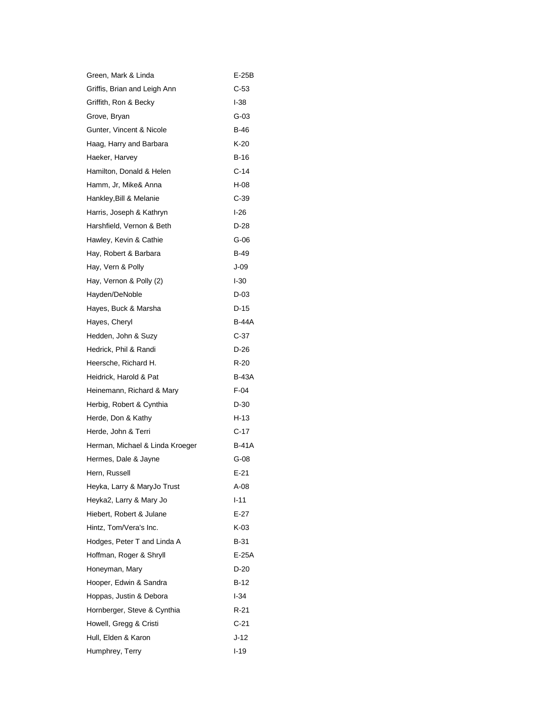| Green, Mark & Linda             | E-25B    |
|---------------------------------|----------|
| Griffis, Brian and Leigh Ann    | C-53     |
| Griffith, Ron & Becky           | $1-38$   |
| Grove, Bryan                    | G-03     |
| Gunter, Vincent & Nicole        | B-46     |
| Haag, Harry and Barbara         | K-20     |
| Haeker, Harvey                  | B-16     |
| Hamilton, Donald & Helen        | $C-14$   |
| Hamm, Jr, Mike& Anna            | H-08     |
| Hankley, Bill & Melanie         | C-39     |
| Harris, Joseph & Kathryn        | $1-26$   |
| Harshfield, Vernon & Beth       | D-28     |
| Hawley, Kevin & Cathie          | G-06     |
| Hay, Robert & Barbara           | B-49     |
| Hay, Vern & Polly               | J-09     |
| Hay, Vernon & Polly (2)         | $I-30$   |
| Hayden/DeNoble                  | D-03     |
| Hayes, Buck & Marsha            | D-15     |
| Hayes, Cheryl                   | B-44A    |
| Hedden, John & Suzy             | $C-37$   |
| Hedrick, Phil & Randi           | D-26     |
| Heersche, Richard H.            | R-20     |
| Heidrick, Harold & Pat          | B-43A    |
| Heinemann, Richard & Mary       | $F-04$   |
| Herbig, Robert & Cynthia        | D-30     |
| Herde, Don & Kathy              | H-13     |
| Herde, John & Terri             | $C-17$   |
| Herman, Michael & Linda Kroeger | B-41A    |
| Hermes, Dale & Jayne            | G-08     |
| Hern, Russell                   | $E - 21$ |
| Heyka, Larry & MaryJo Trust     | A-08     |
| Heyka2, Larry & Mary Jo         | $1 - 11$ |
| Hiebert, Robert & Julane        | $E-27$   |
| Hintz, Tom/Vera's Inc.          | K-03     |
| Hodges, Peter T and Linda A     | B-31     |
| Hoffman, Roger & Shryll         | E-25A    |
| Honeyman, Mary                  | $D-20$   |
| Hooper, Edwin & Sandra          | B-12     |
| Hoppas, Justin & Debora         | l-34     |
| Hornberger, Steve & Cynthia     | R-21     |
| Howell, Gregg & Cristi          | $C-21$   |
| Hull, Elden & Karon             | J-12     |
| Humphrey, Terry                 | l-19     |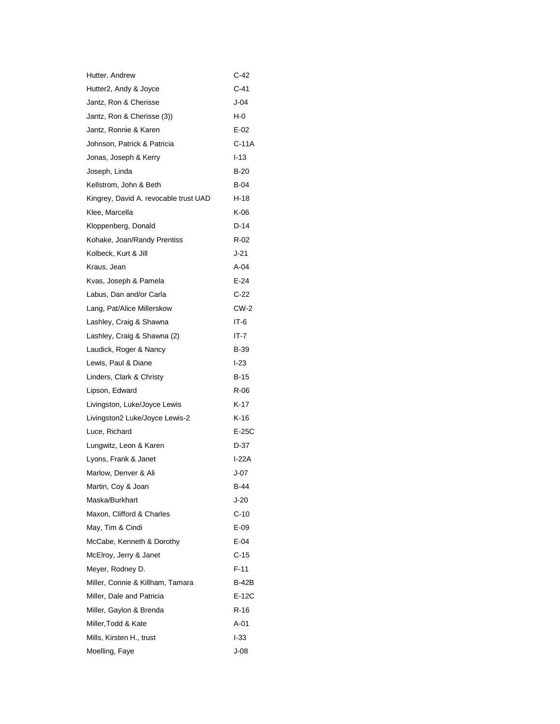| Hutter, Andrew                        | C-42     |
|---------------------------------------|----------|
| Hutter2, Andy & Joyce                 | C-41     |
| Jantz, Ron & Cherisse                 | $J-04$   |
| Jantz, Ron & Cherisse (3))            | $H-0$    |
| Jantz, Ronnie & Karen                 | $E-02$   |
| Johnson, Patrick & Patricia           | C-11A    |
| Jonas, Joseph & Kerry                 | $1 - 13$ |
| Joseph, Linda                         | $B-20$   |
| Kellstrom, John & Beth                | B-04     |
| Kingrey, David A. revocable trust UAD | $H-18$   |
| Klee, Marcella                        | K-06     |
| Kloppenberg, Donald                   | $D-14$   |
| Kohake, Joan/Randy Prentiss           | R-02     |
| Kolbeck, Kurt & Jill                  | $J-21$   |
| Kraus, Jean                           | $A-04$   |
| Kvas, Joseph & Pamela                 | $E-24$   |
| Labus, Dan and/or Carla               | C-22     |
| Lang, Pat/Alice Millerskow            | $CW-2$   |
| Lashley, Craig & Shawna               | IT-6     |
| Lashley, Craig & Shawna (2)           | IT-7     |
| Laudick, Roger & Nancy                | B-39     |
| Lewis, Paul & Diane                   | $1-23$   |
| Linders, Clark & Christy              | $B-15$   |
| Lipson, Edward                        | $R-06$   |
| Livingston, Luke/Joyce Lewis          | K-17     |
| Livingston2 Luke/Joyce Lewis-2        | K-16     |
| Luce, Richard                         | $E-25C$  |
| Lungwitz, Leon & Karen                | $D-37$   |
| Lyons, Frank & Janet                  | I-22A    |
| Marlow, Denver & Ali                  | $J-07$   |
| Martin, Coy & Joan                    | B-44     |
| Maska/Burkhart                        | J-20     |
| Maxon, Clifford & Charles             | $C-10$   |
| May, Tim & Cindi                      | $E-09$   |
| McCabe, Kenneth & Dorothy             | $E-04$   |
| McElroy, Jerry & Janet                | $C-15$   |
| Meyer, Rodney D.                      | $F-11$   |
| Miller, Connie & Killham, Tamara      | B-42B    |
| Miller, Dale and Patricia             | $E-12C$  |
| Miller, Gaylon & Brenda               | $R-16$   |
| Miller, Todd & Kate                   | A-01     |
| Mills, Kirsten H., trust              | $-33$    |
| Moelling, Faye                        | $J-08$   |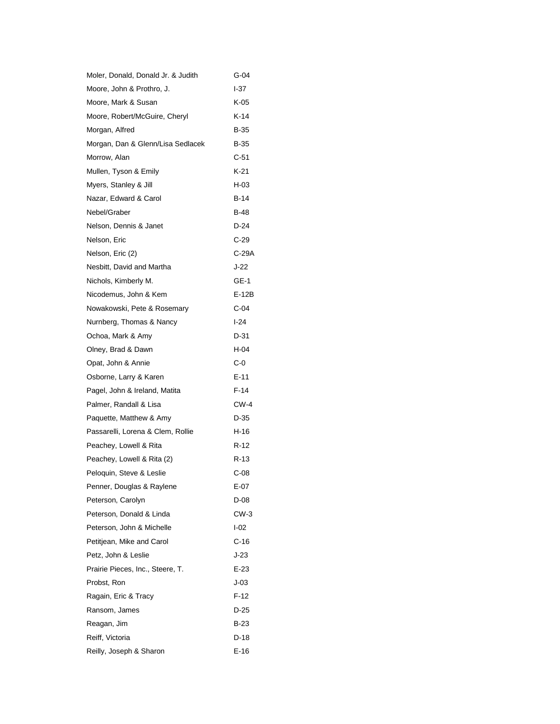| Moler, Donald, Donald Jr. & Judith | G-04   |
|------------------------------------|--------|
| Moore, John & Prothro, J.          | I-37   |
| Moore, Mark & Susan                | K-05   |
| Moore, Robert/McGuire, Cheryl      | K-14   |
| Morgan, Alfred                     | B-35   |
| Morgan, Dan & Glenn/Lisa Sedlacek  | B-35   |
| Morrow, Alan                       | $C-51$ |
| Mullen, Tyson & Emily              | K-21   |
| Myers, Stanley & Jill              | H-03   |
| Nazar, Edward & Carol              | B-14   |
| Nebel/Graber                       | B-48   |
| Nelson, Dennis & Janet             | D-24   |
| Nelson, Eric                       | C-29   |
| Nelson, Eric (2)                   | C-29A  |
| Nesbitt, David and Martha          | J-22   |
| Nichols, Kimberly M.               | GE-1   |
| Nicodemus, John & Kem              | E-12B  |
| Nowakowski, Pete & Rosemary        | C-04   |
| Nurnberg, Thomas & Nancy           | $1-24$ |
| Ochoa, Mark & Amy                  | D-31   |
| Olney, Brad & Dawn                 | H-04   |
| Opat, John & Annie                 | C-0    |
| Osborne, Larry & Karen             | $E-11$ |
| Pagel, John & Ireland, Matita      | F-14   |
| Palmer, Randall & Lisa             | CW-4   |
| Paquette, Matthew & Amy            | D-35   |
| Passarelli, Lorena & Clem, Rollie  | H-16   |
| Peachey, Lowell & Rita             | $R-12$ |
| Peachey, Lowell & Rita (2)         | R-13   |
| Peloquin, Steve & Leslie           | C-08   |
| Penner, Douglas & Raylene          | E-07   |
| Peterson, Carolyn                  | D-08   |
| Peterson, Donald & Linda           | CW-3   |
| Peterson, John & Michelle          | $I-02$ |
| Petitjean, Mike and Carol          | C-16   |
| Petz, John & Leslie                | J-23   |
| Prairie Pieces, Inc., Steere, T.   | $E-23$ |
| Probst, Ron                        | J-03   |
| Ragain, Eric & Tracy               | F-12   |
| Ransom, James                      | D-25   |
| Reagan, Jim                        | B-23   |
| Reiff, Victoria                    | D-18   |
| Reilly, Joseph & Sharon            | E-16   |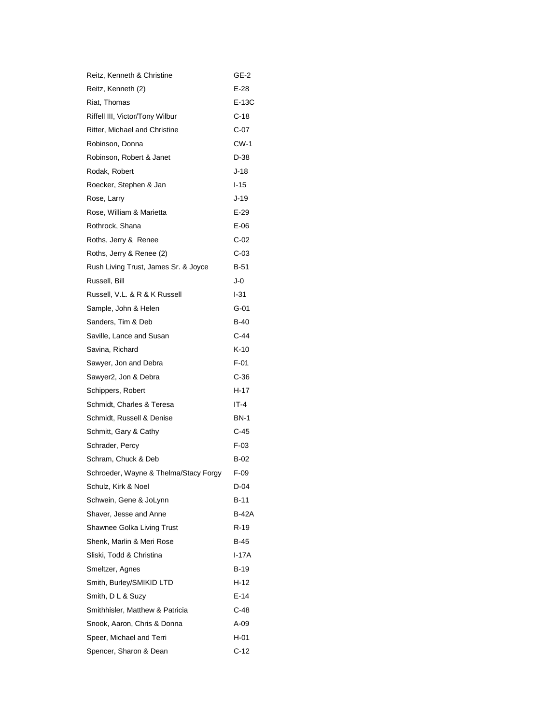| Reitz, Kenneth & Christine            | GE-2   |
|---------------------------------------|--------|
| Reitz, Kenneth (2)                    | E-28   |
| Riat, Thomas                          | E-13C  |
| Riffell III, Victor/Tony Wilbur       | C-18   |
| Ritter, Michael and Christine         | C-07   |
| Robinson, Donna                       | CW-1   |
| Robinson, Robert & Janet              | D-38   |
| Rodak, Robert                         | J-18   |
| Roecker, Stephen & Jan                | $1-15$ |
| Rose, Larry                           | J-19   |
| Rose, William & Marietta              | $E-29$ |
| Rothrock, Shana                       | E-06   |
| Roths, Jerry & Renee                  | C-02   |
| Roths, Jerry & Renee (2)              | C-03   |
| Rush Living Trust, James Sr. & Joyce  | B-51   |
| Russell, Bill                         | J-0    |
| Russell, V.L. & R & K Russell         | I-31   |
| Sample, John & Helen                  | G-01   |
| Sanders, Tim & Deb                    | B-40   |
| Saville, Lance and Susan              | C-44   |
| Savina, Richard                       | K-10   |
| Sawyer, Jon and Debra                 | $F-01$ |
| Sawyer2, Jon & Debra                  | C-36   |
| Schippers, Robert                     | H-17   |
| Schmidt, Charles & Teresa             | $IT-4$ |
| Schmidt, Russell & Denise             | BN-1   |
| Schmitt, Gary & Cathy                 | C-45   |
| Schrader, Percy                       | F-03   |
| Schram, Chuck & Deb                   | B-02   |
| Schroeder, Wayne & Thelma/Stacy Forgy | F-09   |
| Schulz, Kirk & Noel                   | D-04   |
| Schwein, Gene & JoLynn                | B-11   |
| Shaver, Jesse and Anne                | B-42A  |
| Shawnee Golka Living Trust            | R-19   |
| Shenk, Marlin & Meri Rose             | B-45   |
| Sliski, Todd & Christina              | I-17A  |
| Smeltzer, Agnes                       | B-19   |
| Smith, Burley/SMIKID LTD              | H-12   |
| Smith, D L & Suzy                     | $E-14$ |
| Smithhisler, Matthew & Patricia       | C-48   |
| Snook, Aaron, Chris & Donna           | A-09   |
| Speer, Michael and Terri              | H-01   |
| Spencer, Sharon & Dean                | C-12   |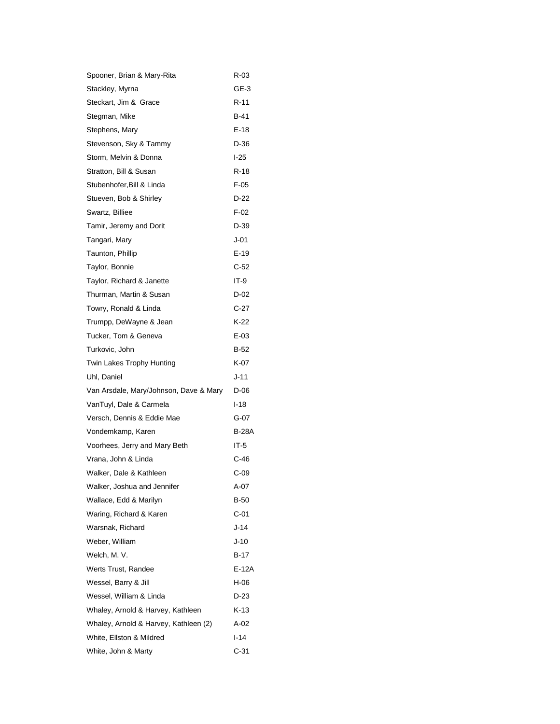| Spooner, Brian & Mary-Rita             | R-03   |
|----------------------------------------|--------|
| Stackley, Myrna                        | GE-3   |
| Steckart, Jim & Grace                  | R-11   |
| Stegman, Mike                          | B-41   |
| Stephens, Mary                         | E-18   |
| Stevenson, Sky & Tammy                 | D-36   |
| Storm, Melvin & Donna                  | $1-25$ |
| Stratton, Bill & Susan                 | $R-18$ |
| Stubenhofer, Bill & Linda              | $F-05$ |
| Stueven, Bob & Shirley                 | D-22   |
| Swartz, Billiee                        | $F-02$ |
| Tamir, Jeremy and Dorit                | D-39   |
| Tangari, Mary                          | J-01   |
| Taunton, Phillip                       | $E-19$ |
| Taylor, Bonnie                         | $C-52$ |
| Taylor, Richard & Janette              | IT-9   |
| Thurman, Martin & Susan                | D-02   |
| Towry, Ronald & Linda                  | C-27   |
| Trumpp, DeWayne & Jean                 | $K-22$ |
| Tucker, Tom & Geneva                   | E-03   |
| Turkovic, John                         | B-52   |
| Twin Lakes Trophy Hunting              | K-07   |
| Uhl, Daniel                            | J-11   |
| Van Arsdale, Mary/Johnson, Dave & Mary | D-06   |
| VanTuyl, Dale & Carmela                | $1-18$ |
| Versch, Dennis & Eddie Mae             | G-07   |
| Vondemkamp, Karen                      | B-28A  |
| Voorhees, Jerry and Mary Beth          | IT-5   |
| Vrana, John & Linda                    | C-46   |
| Walker, Dale & Kathleen                | C-09   |
| Walker, Joshua and Jennifer            | A-07   |
| Wallace, Edd & Marilyn                 | B-50   |
| Waring, Richard & Karen                | C-01   |
| Warsnak, Richard                       | J-14   |
| Weber, William                         | J-10   |
| Welch, M. V.                           | $B-17$ |
| Werts Trust, Randee                    | E-12A  |
| Wessel, Barry & Jill                   | H-06   |
| Wessel, William & Linda                | D-23   |
| Whaley, Arnold & Harvey, Kathleen      | K-13   |
| Whaley, Arnold & Harvey, Kathleen (2)  | A-02   |
| White, Ellston & Mildred               | l-14   |
| White, John & Marty                    | C-31   |